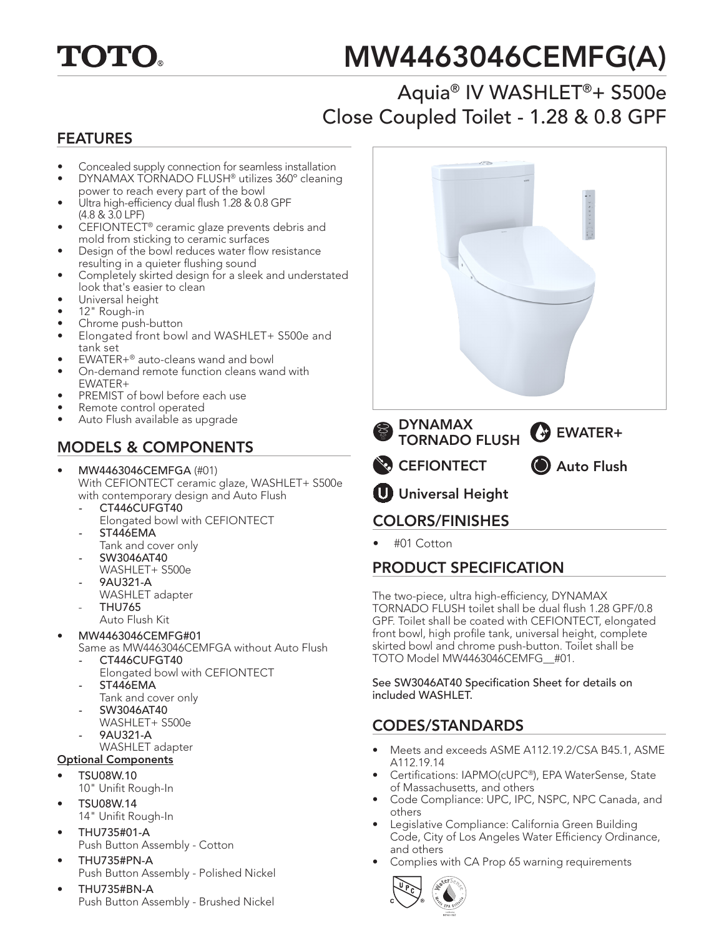

# MW4463046CEMFG(A)

## Aquia® IV WASHLET®+ S500e Close Coupled Toilet - 1.28 & 0.8 GPF

#### FEATURES

- Concealed supply connection for seamless installation
- DYNAMAX TORNADO FLUSH® utilizes 360º cleaning power to reach every part of the bowl
- Ultra high-efficiency dual flush 1.28 & 0.8 GPF (4.8 & 3.0 LPF)
- CEFIONTECT® ceramic glaze prevents debris and mold from sticking to ceramic surfaces
- Design of the bowl reduces water flow resistance resulting in a quieter flushing sound
- Completely skirted design for a sleek and understated look that's easier to clean
- Universal height
- 12" Rough-in
- Chrome push-button
- Elongated front bowl and WASHLET+ S500e and tank set
- EWATER+® auto-cleans wand and bowl
- On-demand remote function cleans wand with EWATER+
- PREMIST of bowl before each use
- Remote control operated
- Auto Flush available as upgrade

#### MODELS & COMPONENTS

- MW4463046CEMFGA (#01) With CEFIONTECT ceramic glaze, WASHLET+ S500e with contemporary design and Auto Flush
	- *-* CT446CUFGT40 Elongated bowl with CEFIONTECT
	- *-* ST446EMA
	- Tank and cover only
	- *-* SW3046AT40 WASHLET+ S500e
	- *-* 9AU321-A
	- WASHLET adapter - THU765
	- Auto Flush Kit
- MW4463046CEMFG#01
	- Same as MW4463046CEMFGA without Auto Flush
	- *-* CT446CUFGT40 Elongated bowl with CEFIONTECT
	- *-* ST446EMA
	- Tank and cover only
	- *-* SW3046AT40
	- WASHLET+ S500e
	- *-* 9AU321-A
	- WASHLET adapter
- Optional Components
- TSU08W.10
	- 10" Unifit Rough-In
- TSU08W.14 14" Unifit Rough-In
- THU735#01-A Push Button Assembly - Cotton
- THU735#PN-A Push Button Assembly - Polished Nickel
- THU735#BN-A Push Button Assembly - Brushed Nickel



• #01 Cotton

#### PRODUCT SPECIFICATION

The two-piece, ultra high-efficiency, DYNAMAX TORNADO FLUSH toilet shall be dual flush 1.28 GPF/0.8 GPF. Toilet shall be coated with CEFIONTECT, elongated front bowl, high profile tank, universal height, complete skirted bowl and chrome push-button. Toilet shall be TOTO Model MW4463046CEMFG\_\_#01.

See SW3046AT40 Specification Sheet for details on included WASHLET.

#### CODES/STANDARDS

- Meets and exceeds ASME A112.19.2/CSA B45.1, ASME A112.19.14
- Certifications: IAPMO(cUPC®), EPA WaterSense, State of Massachusetts, and others
- Code Compliance: UPC, IPC, NSPC, NPC Canada, and others
- Legislative Compliance: California Green Building Code, City of Los Angeles Water Efficiency Ordinance, and others
- Complies with CA Prop 65 warning requirements